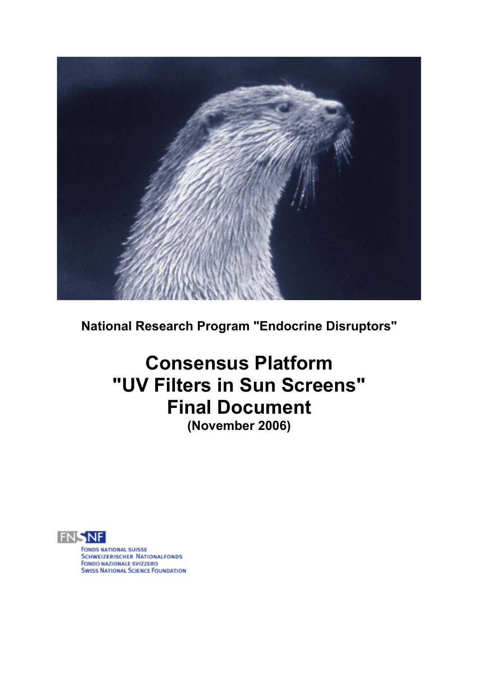

**National Research Program "Endocrine Disruptors"** 

# **Consensus Platform "UV Filters in Sun Screens" Final Document (November 2006)**



**FONDS NATIONAL SUISSE SCHWEIZERISCHER NATIONALFONDS FONDO NAZIONALE SVIZZERO SWISS NATIONAL SCIENCE FOUNDATION**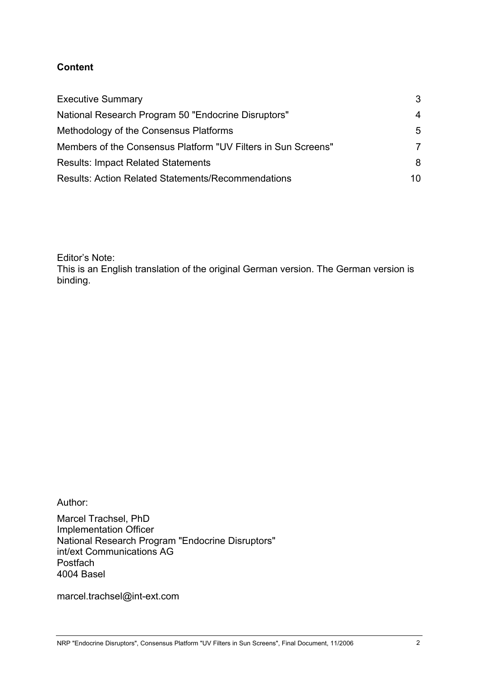# **Content**

| <b>Executive Summary</b><br>National Research Program 50 "Endocrine Disruptors" | 3<br>4 |
|---------------------------------------------------------------------------------|--------|
|                                                                                 |        |
| Members of the Consensus Platform "UV Filters in Sun Screens"                   | 7      |
| <b>Results: Impact Related Statements</b>                                       | 8      |
| <b>Results: Action Related Statements/Recommendations</b>                       | 10     |

Editor's Note:

This is an English translation of the original German version. The German version is binding.

Author:

Marcel Trachsel, PhD Implementation Officer National Research Program "Endocrine Disruptors" int/ext Communications AG Postfach 4004 Basel

marcel.trachsel@int-ext.com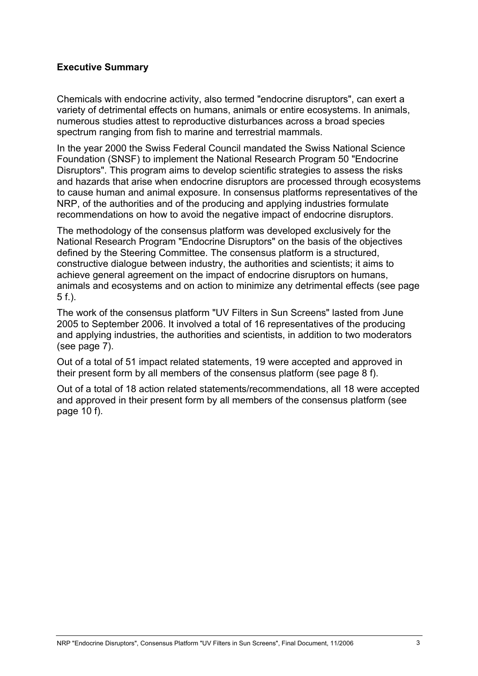#### **Executive Summary**

Chemicals with endocrine activity, also termed "endocrine disruptors", can exert a variety of detrimental effects on humans, animals or entire ecosystems. In animals, numerous studies attest to reproductive disturbances across a broad species spectrum ranging from fish to marine and terrestrial mammals.

In the year 2000 the Swiss Federal Council mandated the Swiss National Science Foundation (SNSF) to implement the National Research Program 50 "Endocrine Disruptors". This program aims to develop scientific strategies to assess the risks and hazards that arise when endocrine disruptors are processed through ecosystems to cause human and animal exposure. In consensus platforms representatives of the NRP, of the authorities and of the producing and applying industries formulate recommendations on how to avoid the negative impact of endocrine disruptors.

The methodology of the consensus platform was developed exclusively for the National Research Program "Endocrine Disruptors" on the basis of the objectives defined by the Steering Committee. The consensus platform is a structured, constructive dialogue between industry, the authorities and scientists; it aims to achieve general agreement on the impact of endocrine disruptors on humans, animals and ecosystems and on action to minimize any detrimental effects (see page 5 f.).

The work of the consensus platform "UV Filters in Sun Screens" lasted from June 2005 to September 2006. It involved a total of 16 representatives of the producing and applying industries, the authorities and scientists, in addition to two moderators (see page 7).

Out of a total of 51 impact related statements, 19 were accepted and approved in their present form by all members of the consensus platform (see page 8 f).

Out of a total of 18 action related statements/recommendations, all 18 were accepted and approved in their present form by all members of the consensus platform (see page 10 f).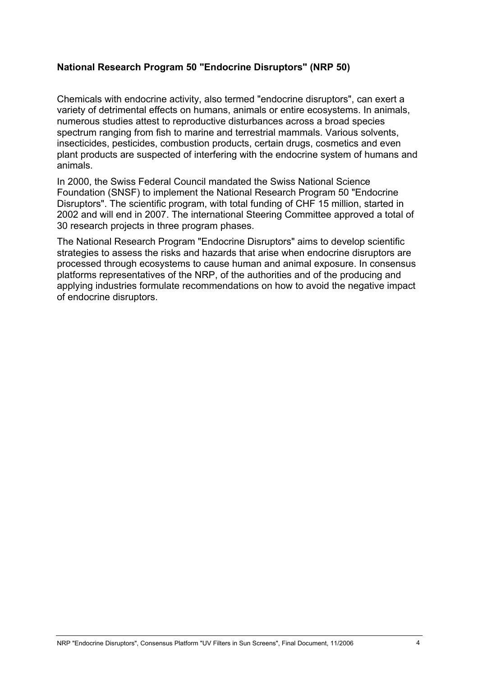## **National Research Program 50 "Endocrine Disruptors" (NRP 50)**

Chemicals with endocrine activity, also termed "endocrine disruptors", can exert a variety of detrimental effects on humans, animals or entire ecosystems. In animals, numerous studies attest to reproductive disturbances across a broad species spectrum ranging from fish to marine and terrestrial mammals. Various solvents, insecticides, pesticides, combustion products, certain drugs, cosmetics and even plant products are suspected of interfering with the endocrine system of humans and animals.

In 2000, the Swiss Federal Council mandated the Swiss National Science Foundation (SNSF) to implement the National Research Program 50 "Endocrine Disruptors". The scientific program, with total funding of CHF 15 million, started in 2002 and will end in 2007. The international Steering Committee approved a total of 30 research projects in three program phases.

The National Research Program "Endocrine Disruptors" aims to develop scientific strategies to assess the risks and hazards that arise when endocrine disruptors are processed through ecosystems to cause human and animal exposure. In consensus platforms representatives of the NRP, of the authorities and of the producing and applying industries formulate recommendations on how to avoid the negative impact of endocrine disruptors.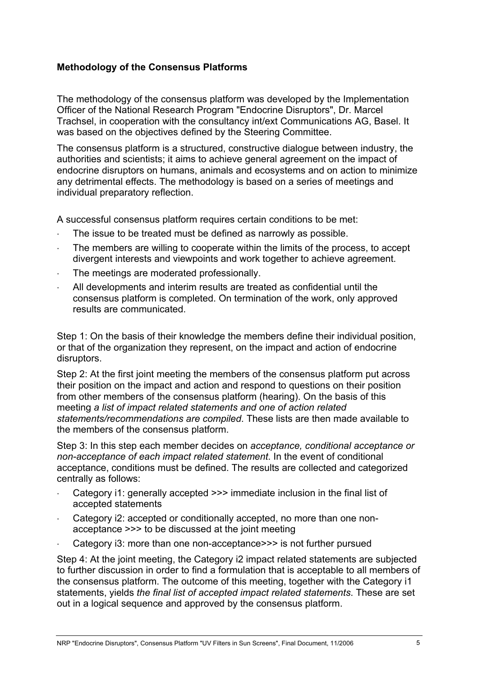# **Methodology of the Consensus Platforms**

The methodology of the consensus platform was developed by the Implementation Officer of the National Research Program "Endocrine Disruptors", Dr. Marcel Trachsel, in cooperation with the consultancy int/ext Communications AG, Basel. It was based on the objectives defined by the Steering Committee.

The consensus platform is a structured, constructive dialogue between industry, the authorities and scientists; it aims to achieve general agreement on the impact of endocrine disruptors on humans, animals and ecosystems and on action to minimize any detrimental effects. The methodology is based on a series of meetings and individual preparatory reflection.

A successful consensus platform requires certain conditions to be met:

- The issue to be treated must be defined as narrowly as possible.
- The members are willing to cooperate within the limits of the process, to accept divergent interests and viewpoints and work together to achieve agreement.
- The meetings are moderated professionally.
- All developments and interim results are treated as confidential until the consensus platform is completed. On termination of the work, only approved results are communicated.

Step 1: On the basis of their knowledge the members define their individual position, or that of the organization they represent, on the impact and action of endocrine disruptors.

Step 2: At the first joint meeting the members of the consensus platform put across their position on the impact and action and respond to questions on their position from other members of the consensus platform (hearing). On the basis of this meeting *a list of impact related statements and one of action related statements/recommendations are compiled*. These lists are then made available to the members of the consensus platform.

Step 3: In this step each member decides on *acceptance, conditional acceptance or non-acceptance of each impact related statement*. In the event of conditional acceptance, conditions must be defined. The results are collected and categorized centrally as follows:

- Category i1: generally accepted >>> immediate inclusion in the final list of accepted statements
- Category i2: accepted or conditionally accepted, no more than one nonacceptance >>> to be discussed at the joint meeting
- Category i3: more than one non-acceptance>>> is not further pursued

Step 4: At the joint meeting, the Category i2 impact related statements are subjected to further discussion in order to find a formulation that is acceptable to all members of the consensus platform. The outcome of this meeting, together with the Category i1 statements, yields *the final list of accepted impact related statements*. These are set out in a logical sequence and approved by the consensus platform.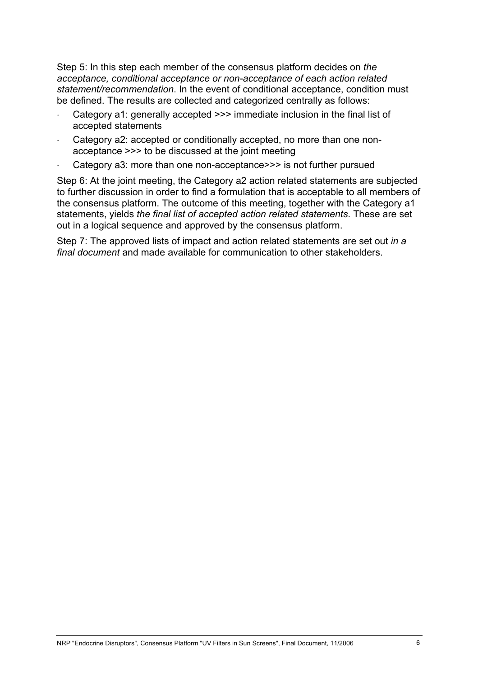Step 5: In this step each member of the consensus platform decides on *the acceptance, conditional acceptance or non-acceptance of each action related statement/recommendation*. In the event of conditional acceptance, condition must be defined. The results are collected and categorized centrally as follows:

- Category a1: generally accepted >>> immediate inclusion in the final list of accepted statements
- Category a2: accepted or conditionally accepted, no more than one nonacceptance >>> to be discussed at the joint meeting
- Category a3: more than one non-acceptance>>> is not further pursued

Step 6: At the joint meeting, the Category a2 action related statements are subjected to further discussion in order to find a formulation that is acceptable to all members of the consensus platform. The outcome of this meeting, together with the Category a1 statements, yields *the final list of accepted action related statements*. These are set out in a logical sequence and approved by the consensus platform.

Step 7: The approved lists of impact and action related statements are set out *in a final document* and made available for communication to other stakeholders.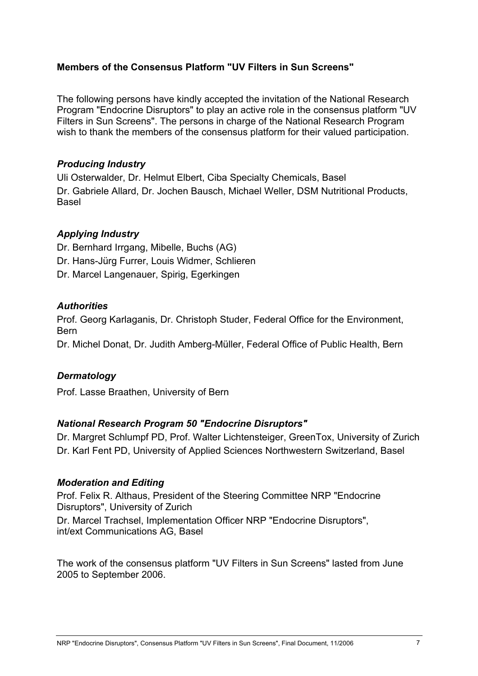# **Members of the Consensus Platform "UV Filters in Sun Screens"**

The following persons have kindly accepted the invitation of the National Research Program "Endocrine Disruptors" to play an active role in the consensus platform "UV Filters in Sun Screens". The persons in charge of the National Research Program wish to thank the members of the consensus platform for their valued participation.

# *Producing Industry*

Uli Osterwalder, Dr. Helmut Elbert, Ciba Specialty Chemicals, Basel Dr. Gabriele Allard, Dr. Jochen Bausch, Michael Weller, DSM Nutritional Products, Basel

# *Applying Industry*

Dr. Bernhard Irrgang, Mibelle, Buchs (AG) Dr. Hans-Jürg Furrer, Louis Widmer, Schlieren Dr. Marcel Langenauer, Spirig, Egerkingen

## *Authorities*

Prof. Georg Karlaganis, Dr. Christoph Studer, Federal Office for the Environment, Bern

Dr. Michel Donat, Dr. Judith Amberg-Müller, Federal Office of Public Health, Bern

# *Dermatology*

Prof. Lasse Braathen, University of Bern

#### *National Research Program 50 "Endocrine Disruptors"*

Dr. Margret Schlumpf PD, Prof. Walter Lichtensteiger, GreenTox, University of Zurich Dr. Karl Fent PD, University of Applied Sciences Northwestern Switzerland, Basel

#### *Moderation and Editing*

Prof. Felix R. Althaus, President of the Steering Committee NRP "Endocrine Disruptors", University of Zurich Dr. Marcel Trachsel, Implementation Officer NRP "Endocrine Disruptors", int/ext Communications AG, Basel

The work of the consensus platform "UV Filters in Sun Screens" lasted from June 2005 to September 2006.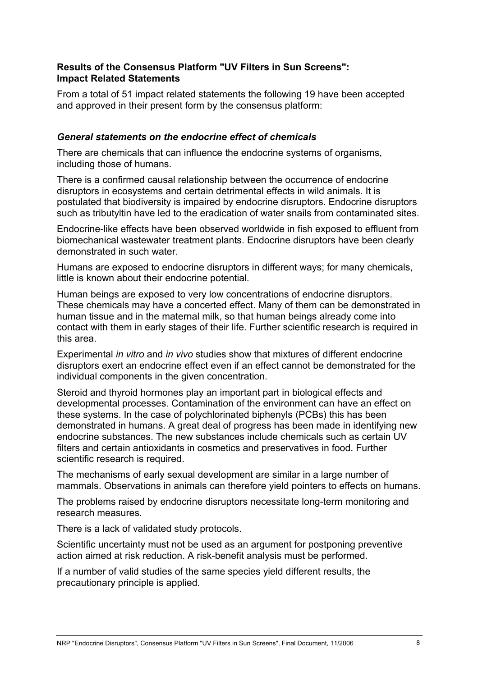## **Results of the Consensus Platform "UV Filters in Sun Screens": Impact Related Statements**

From a total of 51 impact related statements the following 19 have been accepted and approved in their present form by the consensus platform:

#### *General statements on the endocrine effect of chemicals*

There are chemicals that can influence the endocrine systems of organisms, including those of humans.

There is a confirmed causal relationship between the occurrence of endocrine disruptors in ecosystems and certain detrimental effects in wild animals. It is postulated that biodiversity is impaired by endocrine disruptors. Endocrine disruptors such as tributyltin have led to the eradication of water snails from contaminated sites.

Endocrine-like effects have been observed worldwide in fish exposed to effluent from biomechanical wastewater treatment plants. Endocrine disruptors have been clearly demonstrated in such water.

Humans are exposed to endocrine disruptors in different ways; for many chemicals, little is known about their endocrine potential.

Human beings are exposed to very low concentrations of endocrine disruptors. These chemicals may have a concerted effect. Many of them can be demonstrated in human tissue and in the maternal milk, so that human beings already come into contact with them in early stages of their life. Further scientific research is required in this area.

Experimental *in vitro* and *in vivo* studies show that mixtures of different endocrine disruptors exert an endocrine effect even if an effect cannot be demonstrated for the individual components in the given concentration.

Steroid and thyroid hormones play an important part in biological effects and developmental processes. Contamination of the environment can have an effect on these systems. In the case of polychlorinated biphenyls (PCBs) this has been demonstrated in humans. A great deal of progress has been made in identifying new endocrine substances. The new substances include chemicals such as certain UV filters and certain antioxidants in cosmetics and preservatives in food. Further scientific research is required.

The mechanisms of early sexual development are similar in a large number of mammals. Observations in animals can therefore yield pointers to effects on humans.

The problems raised by endocrine disruptors necessitate long-term monitoring and research measures.

There is a lack of validated study protocols.

Scientific uncertainty must not be used as an argument for postponing preventive action aimed at risk reduction. A risk-benefit analysis must be performed.

If a number of valid studies of the same species yield different results, the precautionary principle is applied.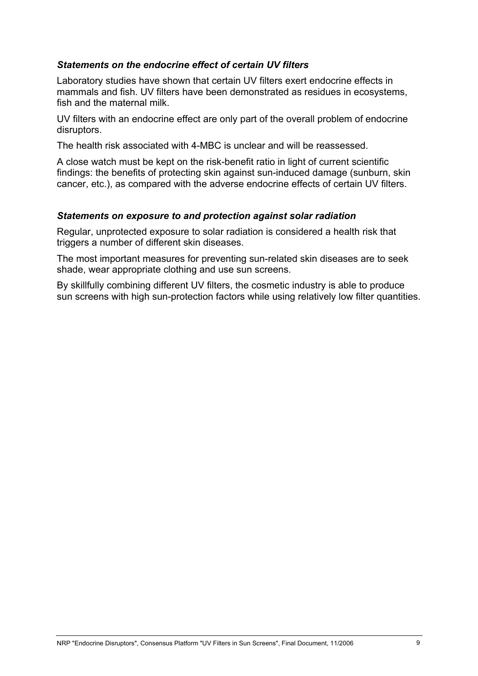#### *Statements on the endocrine effect of certain UV filters*

Laboratory studies have shown that certain UV filters exert endocrine effects in mammals and fish. UV filters have been demonstrated as residues in ecosystems, fish and the maternal milk.

UV filters with an endocrine effect are only part of the overall problem of endocrine disruptors.

The health risk associated with 4-MBC is unclear and will be reassessed.

A close watch must be kept on the risk-benefit ratio in light of current scientific findings: the benefits of protecting skin against sun-induced damage (sunburn, skin cancer, etc.), as compared with the adverse endocrine effects of certain UV filters.

#### *Statements on exposure to and protection against solar radiation*

Regular, unprotected exposure to solar radiation is considered a health risk that triggers a number of different skin diseases.

The most important measures for preventing sun-related skin diseases are to seek shade, wear appropriate clothing and use sun screens.

By skillfully combining different UV filters, the cosmetic industry is able to produce sun screens with high sun-protection factors while using relatively low filter quantities.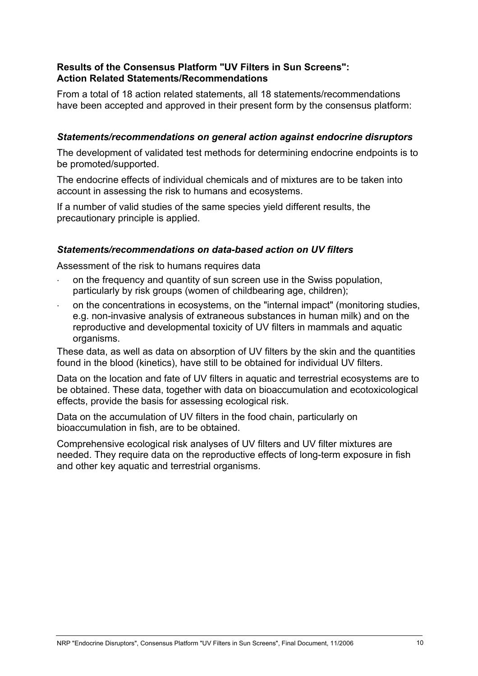## **Results of the Consensus Platform "UV Filters in Sun Screens": Action Related Statements/Recommendations**

From a total of 18 action related statements, all 18 statements/recommendations have been accepted and approved in their present form by the consensus platform:

# *Statements/recommendations on general action against endocrine disruptors*

The development of validated test methods for determining endocrine endpoints is to be promoted/supported.

The endocrine effects of individual chemicals and of mixtures are to be taken into account in assessing the risk to humans and ecosystems.

If a number of valid studies of the same species yield different results, the precautionary principle is applied.

## *Statements/recommendations on data-based action on UV filters*

Assessment of the risk to humans requires data

- on the frequency and quantity of sun screen use in the Swiss population, particularly by risk groups (women of childbearing age, children);
- on the concentrations in ecosystems, on the "internal impact" (monitoring studies, e.g. non-invasive analysis of extraneous substances in human milk) and on the reproductive and developmental toxicity of UV filters in mammals and aquatic organisms.

These data, as well as data on absorption of UV filters by the skin and the quantities found in the blood (kinetics), have still to be obtained for individual UV filters.

Data on the location and fate of UV filters in aquatic and terrestrial ecosystems are to be obtained. These data, together with data on bioaccumulation and ecotoxicological effects, provide the basis for assessing ecological risk.

Data on the accumulation of UV filters in the food chain, particularly on bioaccumulation in fish, are to be obtained.

Comprehensive ecological risk analyses of UV filters and UV filter mixtures are needed. They require data on the reproductive effects of long-term exposure in fish and other key aquatic and terrestrial organisms.